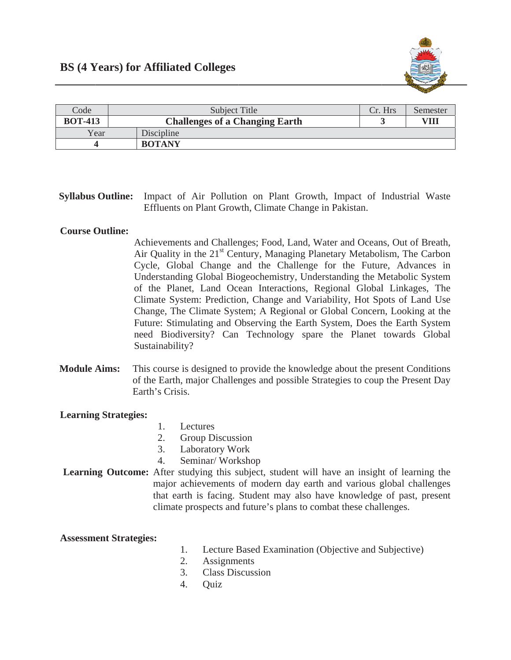

| Code           | Subject Title                         | Cr. Hrs | Semester |
|----------------|---------------------------------------|---------|----------|
| <b>BOT-413</b> | <b>Challenges of a Changing Earth</b> |         | VIII     |
| Year           | Discipline                            |         |          |
|                | <b>BOTANY</b>                         |         |          |

# Syllabus Outline: Impact of Air Pollution on Plant Growth, Impact of Industrial Waste Effluents on Plant Growth, Climate Change in Pakistan.

## **Course Outline:**

Achievements and Challenges; Food, Land, Water and Oceans, Out of Breath, Air Quality in the 21<sup>st</sup> Century, Managing Planetary Metabolism, The Carbon Cycle, Global Change and the Challenge for the Future, Advances in Understanding Global Biogeochemistry, Understanding the Metabolic System of the Planet, Land Ocean Interactions, Regional Global Linkages, The Climate System: Prediction, Change and Variability, Hot Spots of Land Use Change, The Climate System; A Regional or Global Concern, Looking at the Future: Stimulating and Observing the Earth System, Does the Earth System need Biodiversity? Can Technology spare the Planet towards Global Sustainability?

**Module Aims:** This course is designed to provide the knowledge about the present Conditions of the Earth, major Challenges and possible Strategies to coup the Present Day Earth's Crisis.

### **Learning Strategies:**

- $1.$ Lectures
- $2.$ Group Discussion
- **Laboratory Work**  $\mathcal{E}$
- $\mathbf{\Delta}$ Seminar/Workshop
- Learning Outcome: After studying this subject, student will have an insight of learning the major achievements of modern day earth and various global challenges that earth is facing. Student may also have knowledge of past, present climate prospects and future's plans to combat these challenges.

#### **Assessment Strategies:**

- 1. Lecture Based Examination (Objective and Subjective)
- **Assignments** 2.
- $\mathcal{E}$ **Class Discussion**
- $4.$ Ouiz